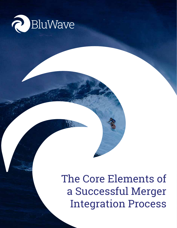

# The Core Elements of a Successful Merger Integration Process

©BluWave 2021 | 211 Franklin Rd Suite 250, Brentwood, TN | 615-588-4010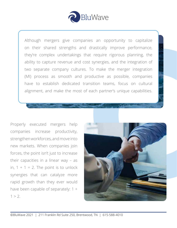

Although mergers give companies an opportunity to capitalize on their shared strengths and drastically improve performance, they're complex undertakings that require rigorous planning, the ability to capture revenue and cost synergies, and the integration of two separate company cultures. To make the merger integration (MI) process as smooth and productive as possible, companies have to establish dedicated transition teams, focus on cultural alignment, and make the most of each partner's unique capabilities.

Properly executed mergers help companies increase productivity, strengthen workforces, and move into new markets. When companies join forces, the point isn't just to increase their capacities in a linear way – as in,  $1 + 1 = 2$ . The point is to unlock synergies that can catalyze more rapid growth than they ever would have been capable of separately: 1 +  $1 > 2$ .

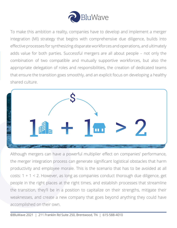

To make this ambition a reality, companies have to develop and implement a merger integration (MI) strategy that begins with comprehensive due diligence, builds into effective processes for synthesizing disparate workforces and operations, and ultimately adds value for both parties. Successful mergers are all about people – not only the combination of two compatible and mutually supportive workforces, but also the appropriate delegation of roles and responsibilities, the creation of dedicated teams that ensure the transition goes smoothly, and an explicit focus on developing a healthy shared culture.



Although mergers can have a powerful multiplier effect on companies' performance, the merger integration process can generate significant logistical obstacles that harm productivity and employee morale. This is the scenario that has to be avoided at all costs:  $1 + 1 < 2$ . However, as long as companies conduct thorough due diligence, get people in the right places at the right times, and establish processes that streamline the transition, they'll be in a position to capitalize on their strengths, mitigate their weaknesses, and create a new company that goes beyond anything they could have accomplished on their own.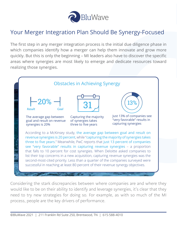

### Your Merger Integration Plan Should Be Synergy-Focused

The first step in any merger integration process is the initial due diligence phase in which companies identify how a merger can help them innovate and grow more quickly. But this is only the beginning – MI leaders also have to discover the specific areas where synergies are most likely to emerge and dedicate resources toward realizing those synergies.



Considering the stark discrepancies between where companies are and where they would like to be on their ability to identify and leverage synergies, it's clear that they need to try new strategies for doing so. For example, as with so much of the MI process, people are the key drivers of performance.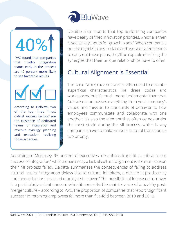40%1

PwC found that companies that involve integration teams early in the process are 40 percent more likely to see favorable results.



According to Deloitte, two of the top three "most critical success factors" are the existence of dedicated teams for integration and revenue synergy planning and execution. realizing those synergies.



Deloitte also reports that top-performing companies have clearly defined innovation priorities, which are then "used as key inputs for growth plans." When companies put the right MI plans in place and use specialized teams to carry out those plans, they'll be capable of seizing the synergies that their unique relationships have to offer.

## Cultural Alignment is Essential

The term "workplace culture" is often used to describe superficial characteristics like dress codes and workspaces, but it's much more fundamental than that. Culture encompasses everything from your company's values and mission to standards of behavior to how employees communicate and collaborate with one another. It's also the element that often comes under the most strain during the MI process, which is why companies have to make smooth cultural transitions a top priority.

According to McKinsey, 95 percent of executives "describe cultural fit as critical to the success of integration," while a quarter say a lack of cultural alignment is the main reason their MI process failed. Deloitte summarizes the consequences of failing to address cultural issues: "integration delays due to cultural inhibitors, a decline in productivity and innovation, or increased employee turnover." The possibility of increased turnover is a particularly salient concern when it comes to the maintenance of a healthy postmerger culture – according to PwC, the proportion of companies that report "significant success" in retaining employees fellmore than five-fold between 2010 and 2019.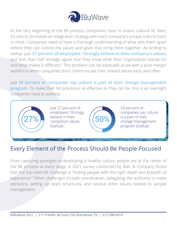

At the very beginning of the MI process, companies have to assess cultural fit. Next, it's vital to formulate an integration strategy with each company's unique cultural traits in mind. Companies need to have a thorough understanding of what sets them apart before they can outline the values and goals that bring them together. According to Gallup, just **27 percent of employees "strongly believe in their company's values**, and less than half strongly agree that they know what their organization stands for and what makes it different." This problem can be especially acute with a post-merger workforce when companies don't communicate their shared values early and often.

Just **50 percent of companies say culture is part of their change management program**. To make their MI processes as effective as they can be, this is an oversight companies have to address.



 $27\%$   $^{-}$  believe in their (50%) Just 27 percent of employees "strongly believe in their (Gallup)



50 percent of companies say culture is a part of their change management program (Gallup)

### Every Element of the Process Should Be People-Focused

From capturing synergies to developing a healthy culture, people are at the center of the MI process at every stage. A 2021 survey conducted by Bain & Company found that the top-cited MI challenge is "finding people with the right depth and breadth of experience." Other challenges include coordination, delegating the authority to make decisions, setting up team structures, and several other issues related to people management.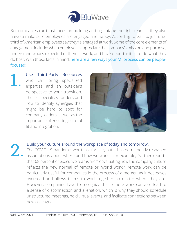

But companies can't just focus on building and organizing the right teams – they also have to make sure employees are engaged and happy. According to Gallup, just onethird of American employees say they're engaged at work. Some of the core elements of engagement include: when employees appreciate the company's mission and purpose, understand what's expected of them at work, and have opportunities to do what they do best. With those facts in mind, here are a few ways your MI process can be peoplefocused:

Use Third-Party Resources who can bring specialized expertise and an outsider's perspective to your transition. These specialists understand how to identify synergies that might be hard to spot for company leaders, as well as the importance of ensuring cultural fit and integration. 1.



#### Build your culture around the workplace of today and tomorrow.

The COVID-19 pandemic won't last forever, but it has permanently reshaped assumptions about where and how we work – for example, Gartner reports that 68 percent of executive teams are "reevaluating how the company culture reflects the new normal of remote or hybrid work." Remote work can be particularly useful for companies in the process of a merger, as it decreases overhead and allows teams to work together no matter where they are. However, companies have to recognize that remote work can also lead to a sense of disconnection and alienation, which is why they should schedule unstructured meetings, hold virtual events, and facilitate connections between new colleagues. 2.